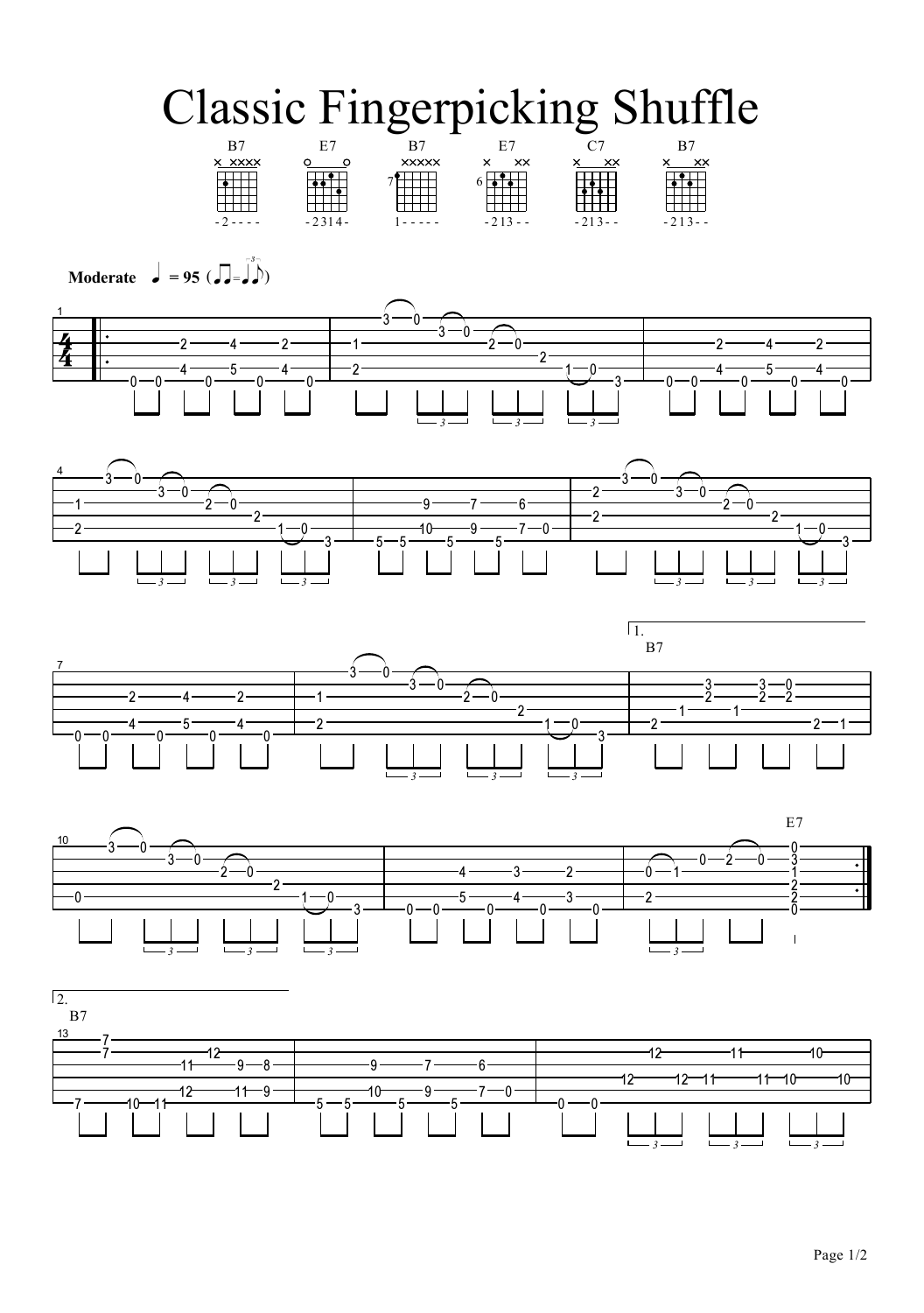## **Classic Fingerpicking Shuffle**  $\overline{C}$







Moderate  $\int$  = 95 ( $\iint = \int$ )

 $\overline{\phantom{a}}$